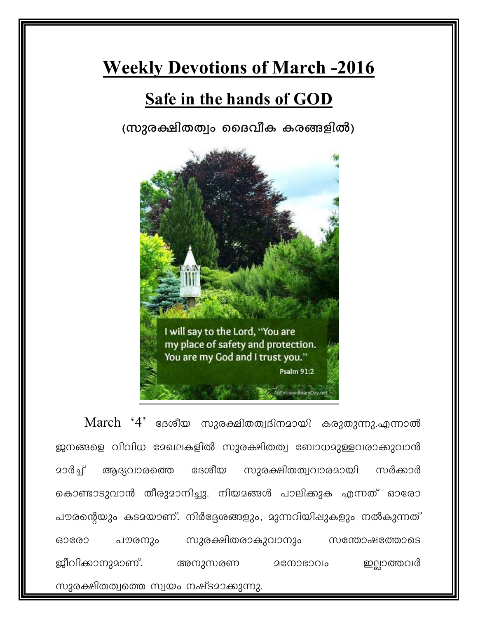## **Weekly Devotions of March -2016**

## **Safe in the hands of GOD**

(സുരക്ഷിതത്വം ദൈവീക കരങ്ങളിൽ)



 $March$  ' $4$ ' ദേശീയ സുരക്ഷിതത്വദിനമായി കരുതുന്നു.എന്നാൽ ജനങ്ങളെ വിവിധ മേഖലകളിൽ സുരക്ഷിതത്വ ബോധമുള്ളവരാക്കുവാൻ <u>മാർച്ച് ആദ്യവാരത്തെ ദേശീയ സുരക്ഷിതത്വവാരമായി സർക്കാർ</u> കൊണ്ടാടുവാൻ തീരുമാനിച്ചു. നിയമങ്ങൾ പാലിക്കുക എന്നത് ഓരോ പൗരന്റെയും കടമയാണ്. നിർദ്ദേശങ്ങളും, മുന്നറിയിഷുകളും നൽകുന്നത് ഓരോ പൗരനും സുരക്ഷിതരാകുവാനും സന്തോഷത്തോടെ ജീവിക്കാനുമാണ്. അനുസരണ മനോഭാവം ഇല്ലാത്തവർ സുരക്ഷിതത്വത്തെ സ്വയം നഷ്ടമാക്കുന്നു.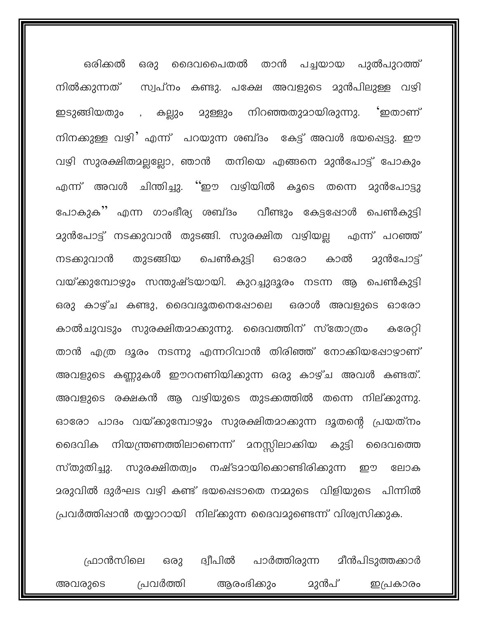ഒരു ദൈവപൈതൽ താൻ പച്ചയായ പുൽപുറത്ത് ഒരിക്കൽ സ്വപ്നം കണ്ടു. പക്ഷേ അവളുടെ മുൻപിലുള്ള വഴി നിൽക്കുന്നത് ഇടുങ്ങിയതും , കല്ലും മുള്ളും നിറഞ്ഞതുമായിരുന്നു. 'ഇതാണ് നിനക്കുള്ള വഴി' എന്ന് പറയുന്ന ശബ്ദം കേട്ട് അവൾ ഭയപ്പെട്ടു. ഈ വഴി സുരക്ഷിതമല്ലല്ലോ, ഞാൻ തനിയെ എങ്ങനെ മുൻപോട്ട് പോകും എന്ന് അവൾ ചിന്തിച്ചു. ''ഈ വഴിയിൽ കൂടെ തന്നെ മുൻപോട്ടു പോകുക'' എന്ന ഗാംഭീര്യ ശബ്ദം വീണ്ടും കേട്ടഷോൾ പെൺകുട്ടി മുൻപോട്ട് നടക്കുവാൻ തുടങ്ങി. സുരക്ഷിത വഴിയല്ല എന്ന് പറഞ്ഞ് തുടങ്ങിയ പെൺകുട്ടി ഓരോ **മുൻപോട്ട്** നടക്കുവാൻ കാൽ വയ്ക്കുമ്പോഴും സന്തുഷ്ടയായി. കുറച്ചുദൂരം നടന്ന ആ പെൺകുട്ടി ഒരു കാഴ്ച കണ്ടു, ദൈവദൂതനെഷോലെ ഒരാൾ അവളുടെ ഓരോ കാൽചുവടും സുരക്ഷിതമാക്കുന്നു. ദൈവത്തിന് സ്തോത്രം കരേറ്റി താൻ എത്ര ദൂരം നടന്നു എന്നറിവാൻ തിരിഞ്ഞ് നോക്കിയപ്പോഴാണ് അവളുടെ കണ്ണുകൾ ഈറനണിയിക്കുന്ന ഒരു കാഴ്ച അവൾ കണ്ടത്. അവളുടെ രക്ഷകൻ ആ വഴിയുടെ തുടക്കത്തിൽ തന്നെ നില്ക്കുന്നു. ഓരോ പാദം വയ്ക്കുമ്പോഴും സുരക്ഷിതമാക്കുന്ന ദൂതന്റെ പ്രയത്നം ദൈവിക നിയന്ത്രണത്തിലാണെന്ന് മനസ്സിലാക്കിയ കുട്ടി ദൈവത്തെ സ്തുതിച്ചു. സുരക്ഷിതത്വം നഷ്ടമായിക്കൊണ്ടിരിക്കുന്ന ഈ ലോക <u>ാ</u>രുവിൽ ദുർഘട വഴി കണ്ട് ഭയപ്പെടാതെ നമ്മുടെ വിളിയുടെ പിന്നിൽ പ്രവർത്തിഷാൻ തയ്യാറായി നില്ക്കുന്ന ദൈവമുണ്ടെന്ന് വിശ്വസിക്കുക.

ഫ്രാൻസിലെ ഒരു ദ്വീപിൽ പാർത്തിരുന്ന മീൻപിടുത്തക്കാർ പ്രവർത്തി ആരംഭിക്കും **മുൻപ്** അവരുടെ ഇപ്രകാരം